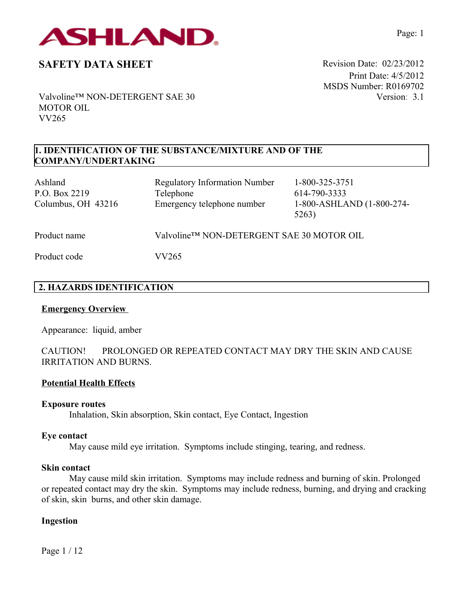

Print Date: 4/5/2012 MSDS Number: R0169702 Version: 3.1

Valvoline™ NON-DETERGENT SAE 30 MOTOR OIL VV265

## **1. IDENTIFICATION OF THE SUBSTANCE/MIXTURE AND OF THE COMPANY/UNDERTAKING**

| Ashland<br>P.O. Box 2219<br>Columbus, OH 43216 | <b>Regulatory Information Number</b><br>Telephone<br>Emergency telephone number | 1-800-325-3751<br>614-790-3333<br>1-800-ASHLAND (1-800-274-<br>5263) |
|------------------------------------------------|---------------------------------------------------------------------------------|----------------------------------------------------------------------|
| Product name                                   | Valvoline™ NON-DETERGENT SAE 30 MOTOR OIL                                       |                                                                      |
| Product code                                   | VV265                                                                           |                                                                      |

# **2. HAZARDS IDENTIFICATION**

## **Emergency Overview**

Appearance:liquid, amber

CAUTION! PROLONGED OR REPEATED CONTACT MAY DRY THE SKIN AND CAUSE IRRITATION AND BURNS.

## **Potential Health Effects**

### **Exposure routes**

Inhalation, Skin absorption, Skin contact, Eye Contact, Ingestion

### **Eye contact**

May cause mild eye irritation. Symptoms include stinging, tearing, and redness.

### **Skin contact**

May cause mild skin irritation. Symptoms may include redness and burning of skin. Prolonged or repeated contact may dry the skin. Symptoms may include redness, burning, and drying and cracking of skin, skin burns, and other skin damage.

### **Ingestion**

Page 1 / 12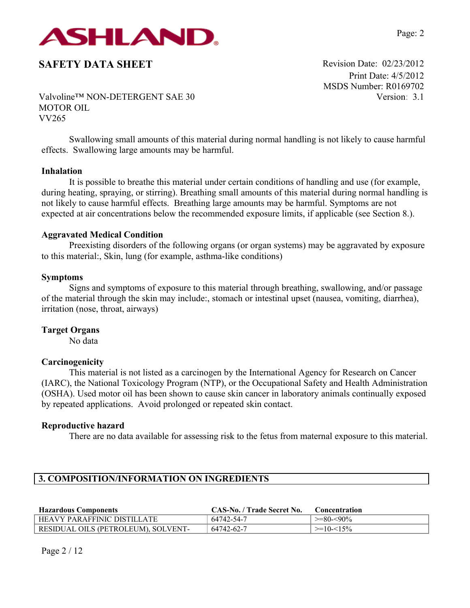

Print Date: 4/5/2012 MSDS Number: R0169702 Version: 3.1

Valvoline™ NON-DETERGENT SAE 30 MOTOR OIL VV265

Swallowing small amounts of this material during normal handling is not likely to cause harmful effects. Swallowing large amounts may be harmful.

### **Inhalation**

It is possible to breathe this material under certain conditions of handling and use (for example, during heating, spraying, or stirring). Breathing small amounts of this material during normal handling is not likely to cause harmful effects. Breathing large amounts may be harmful. Symptoms are not expected at air concentrations below the recommended exposure limits, if applicable (see Section 8.).

#### **Aggravated Medical Condition**

Preexisting disorders of the following organs (or organ systems) may be aggravated by exposure to this material:, Skin, lung (for example, asthma-like conditions)

#### **Symptoms**

Signs and symptoms of exposure to this material through breathing, swallowing, and/or passage of the material through the skin may include:, stomach or intestinal upset (nausea, vomiting, diarrhea), irritation (nose, throat, airways)

#### **Target Organs**

No data

#### **Carcinogenicity**

This material is not listed as a carcinogen by the International Agency for Research on Cancer (IARC), the National Toxicology Program (NTP), or the Occupational Safety and Health Administration (OSHA). Used motor oil has been shown to cause skin cancer in laboratory animals continually exposed by repeated applications. Avoid prolonged or repeated skin contact.

#### **Reproductive hazard**

There are no data available for assessing risk to the fetus from maternal exposure to this material.

# **3. COMPOSITION/INFORMATION ON INGREDIENTS**

| <b>Hazardous Components</b>         | CAS-No. / Trade Secret No. | <b>Concentration</b> |
|-------------------------------------|----------------------------|----------------------|
| <b>HEAVY PARAFFINIC DISTILLATE</b>  | 64742-54-7                 | $>=80-<90\%$         |
| RESIDUAL OILS (PETROLEUM), SOLVENT- | 64742-62-7                 | $\ge$ =10-<15%       |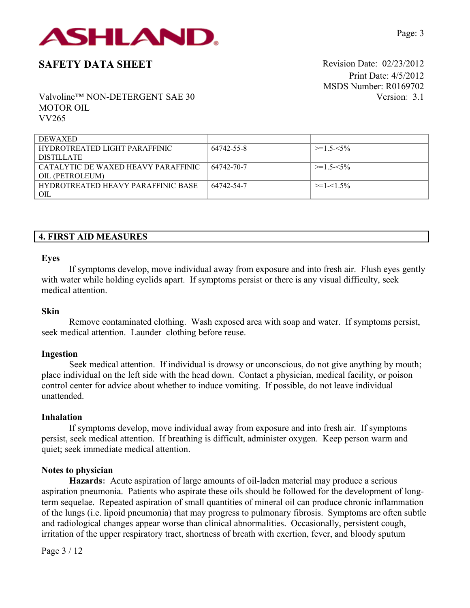

Print Date: 4/5/2012 MSDS Number: R0169702 Version: 3.1

Valvoline™ NON-DETERGENT SAE 30 MOTOR OIL VV265

| <b>DEWAXED</b>                            |            |                 |
|-------------------------------------------|------------|-----------------|
| HYDROTREATED LIGHT PARAFFINIC             | 64742-55-8 | $>=1.5 \le 5\%$ |
| <b>DISTILLATE</b>                         |            |                 |
| CATALYTIC DE WAXED HEAVY PARAFFINIC       | 64742-70-7 | $>=1.5 \le 5\%$ |
| OIL (PETROLEUM)                           |            |                 |
| <b>HYDROTREATED HEAVY PARAFFINIC BASE</b> | 64742-54-7 | $>=1-1.5%$      |
| OIL                                       |            |                 |

# **4. FIRST AID MEASURES**

#### **Eyes**

If symptoms develop, move individual away from exposure and into fresh air. Flush eyes gently with water while holding eyelids apart. If symptoms persist or there is any visual difficulty, seek medical attention.

### **Skin**

Remove contaminated clothing. Wash exposed area with soap and water. If symptoms persist, seek medical attention. Launder clothing before reuse.

#### **Ingestion**

Seek medical attention. If individual is drowsy or unconscious, do not give anything by mouth; place individual on the left side with the head down. Contact a physician, medical facility, or poison control center for advice about whether to induce vomiting. If possible, do not leave individual unattended.

#### **Inhalation**

If symptoms develop, move individual away from exposure and into fresh air. If symptoms persist, seek medical attention. If breathing is difficult, administer oxygen. Keep person warm and quiet; seek immediate medical attention.

#### **Notes to physician**

**Hazards:** Acute aspiration of large amounts of oil-laden material may produce a serious aspiration pneumonia. Patients who aspirate these oils should be followed for the development of longterm sequelae. Repeated aspiration of small quantities of mineral oil can produce chronic inflammation of the lungs (i.e. lipoid pneumonia) that may progress to pulmonary fibrosis. Symptoms are often subtle and radiological changes appear worse than clinical abnormalities. Occasionally, persistent cough, irritation of the upper respiratory tract, shortness of breath with exertion, fever, and bloody sputum

Page 3 / 12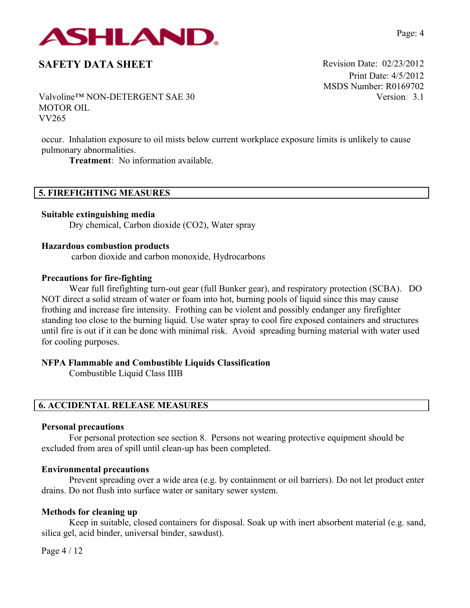

Print Date: 4/5/2012 MSDS Number: R0169702 Version: 3.1

Valvoline™ NON-DETERGENT SAE 30 MOTOR OIL VV265

occur. Inhalation exposure to oil mists below current workplace exposure limits is unlikely to cause pulmonary abnormalities.

**Treatment:** No information available.

## **5. FIREFIGHTING MEASURES**

**Suitable extinguishing media**

Dry chemical, Carbon dioxide (CO2), Water spray

### **Hazardous combustion products**

carbon dioxide and carbon monoxide, Hydrocarbons

### **Precautions for fire-fighting**

Wear full firefighting turn-out gear (full Bunker gear), and respiratory protection (SCBA). DO NOT direct a solid stream of water or foam into hot, burning pools of liquid since this may cause frothing and increase fire intensity. Frothing can be violent and possibly endanger any firefighter standing too close to the burning liquid. Use water spray to cool fire exposed containers and structures until fire is out if it can be done with minimal risk. Avoid spreading burning material with water used for cooling purposes.

## **NFPA Flammable and Combustible Liquids Classification**

Combustible Liquid Class IIIB

## **6. ACCIDENTAL RELEASE MEASURES**

### **Personal precautions**

For personal protection see section 8.Persons not wearing protective equipment should be excluded from area of spill until clean-up has been completed.

### **Environmental precautions**

Prevent spreading over a wide area (e.g. by containment or oil barriers). Do not let product enter drains. Do not flush into surface water or sanitary sewer system.

### **Methods for cleaning up**

Keep in suitable, closed containers for disposal. Soak up with inert absorbent material (e.g. sand, silica gel, acid binder, universal binder, sawdust).

Page 4 / 12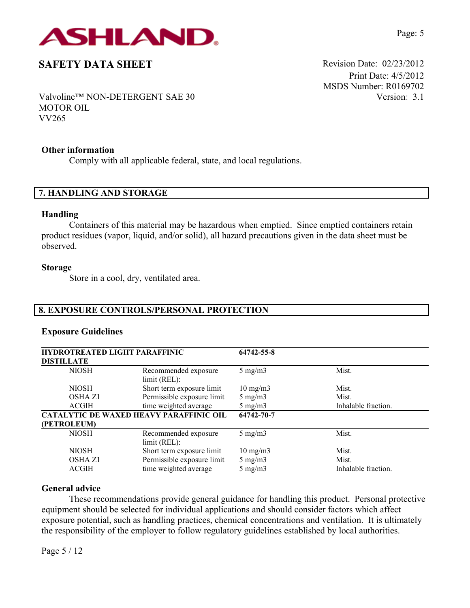

Print Date: 4/5/2012 MSDS Number: R0169702 Version: 3.1

Valvoline™ NON-DETERGENT SAE 30 MOTOR OIL VV265

### **Other information**

Comply with all applicable federal, state, and local regulations.

### **7. HANDLING AND STORAGE**

#### **Handling**

Containers of this material may be hazardous when emptied. Since emptied containers retain product residues (vapor, liquid, and/or solid), all hazard precautions given in the data sheet must be observed.

### **Storage**

Store in a cool, dry, ventilated area.

# **8. EXPOSURE CONTROLS/PERSONAL PROTECTION**

## **Exposure Guidelines**

| <b>HYDROTREATED LIGHT PARAFFINIC</b><br><b>DISTILLATE</b> |                                                | 64742-55-8        |                     |
|-----------------------------------------------------------|------------------------------------------------|-------------------|---------------------|
| <b>NIOSH</b>                                              | Recommended exposure<br>limit (REL):           | $5 \text{ mg/m}$  | Mist.               |
| <b>NIOSH</b>                                              | Short term exposure limit                      | $10 \text{ mg/m}$ | Mist.               |
| OSHA Z1                                                   | Permissible exposure limit                     | $5 \text{ mg/m}$  | Mist.               |
| <b>ACGIH</b>                                              | time weighted average                          | $5 \text{ mg/m}$  | Inhalable fraction. |
|                                                           | <b>CATALYTIC DE WAXED HEAVY PARAFFINIC OIL</b> | 64742-70-7        |                     |
| (PETROLEUM)                                               |                                                |                   |                     |
| <b>NIOSH</b>                                              | Recommended exposure<br>limit (REL):           | $5 \text{ mg/m}$  | Mist.               |
| <b>NIOSH</b>                                              | Short term exposure limit                      | $10 \text{ mg/m}$ | Mist.               |
| <b>OSHA Z1</b>                                            | Permissible exposure limit                     | $5 \text{ mg/m}$  | Mist.               |
| <b>ACGIH</b>                                              | time weighted average                          | $5 \text{ mg/m}$  | Inhalable fraction. |

## **General advice**

These recommendations provide general guidance for handling this product. Personal protective equipment should be selected for individual applications and should consider factors which affect exposure potential, such as handling practices, chemical concentrations and ventilation. It is ultimately the responsibility of the employer to follow regulatory guidelines established by local authorities.

Page 5 / 12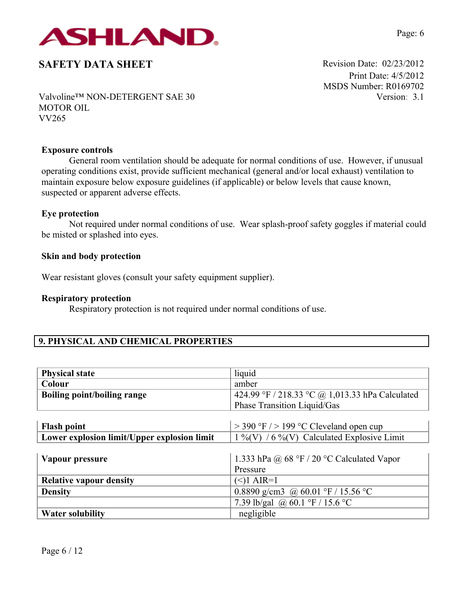

Print Date: 4/5/2012 MSDS Number: R0169702 Version: 3.1

Valvoline™ NON-DETERGENT SAE 30 MOTOR OIL VV265

### **Exposure controls**

General room ventilation should be adequate for normal conditions of use. However, if unusual operating conditions exist, provide sufficient mechanical (general and/or local exhaust) ventilation to maintain exposure below exposure guidelines (if applicable) or below levels that cause known, suspected or apparent adverse effects.

### **Eye protection**

Not required under normal conditions of use. Wear splash-proof safety goggles if material could be misted or splashed into eyes.

### **Skin and body protection**

Wear resistant gloves (consult your safety equipment supplier).

### **Respiratory protection**

Respiratory protection is not required under normal conditions of use.

# **9. PHYSICAL AND CHEMICAL PROPERTIES**

| <b>Physical state</b>                       | liquid                                          |
|---------------------------------------------|-------------------------------------------------|
| Colour                                      | amber                                           |
| <b>Boiling point/boiling range</b>          | 424.99 °F / 218.33 °C @ 1,013.33 hPa Calculated |
|                                             | Phase Transition Liquid/Gas                     |
|                                             |                                                 |
| <b>Flash point</b>                          | $>$ 390 °F $/$ > 199 °C Cleveland open cup      |
| Lower explosion limit/Upper explosion limit | $1\%$ (V) / 6 %(V) Calculated Explosive Limit   |
|                                             |                                                 |
| Vapour pressure                             | 1.333 hPa @ 68 °F / 20 °C Calculated Vapor      |
|                                             | Pressure                                        |
| <b>Relative vapour density</b>              | $(<)1$ AIR=1                                    |
| <b>Density</b>                              | 0.8890 g/cm3 @ 60.01 °F / 15.56 °C              |
|                                             | 7.39 lb/gal @ 60.1 °F / 15.6 °C                 |
| <b>Water solubility</b>                     | negligible                                      |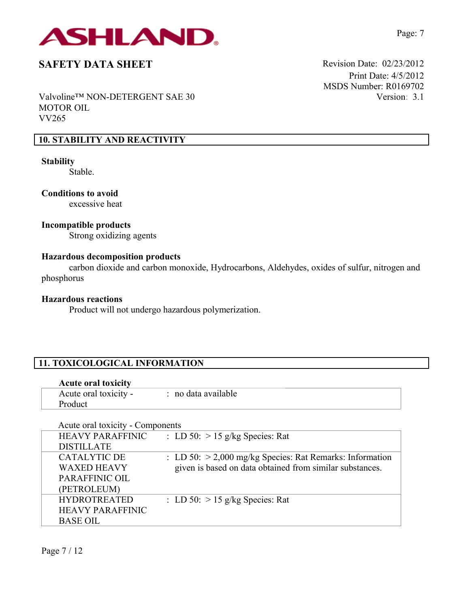

Valvoline™ NON-DETERGENT SAE 30 MOTOR OIL VV265

# **10. STABILITY AND REACTIVITY**

# **Stability**

Stable.

**Conditions to avoid** excessive heat

## **Incompatible products**

Strong oxidizing agents

### **Hazardous decomposition products**

carbon dioxide and carbon monoxide, Hydrocarbons, Aldehydes, oxides of sulfur, nitrogen and phosphorus

### **Hazardous reactions**

Product will not undergo hazardous polymerization.

# **11. TOXICOLOGICAL INFORMATION**

| <b>Acute oral toxicity</b>       |                     |  |
|----------------------------------|---------------------|--|
| Acute oral toxicity -<br>Product | : no data available |  |

| Acute oral toxicity - Components |                                                            |
|----------------------------------|------------------------------------------------------------|
| <b>HEAVY PARAFFINIC</b>          | : LD 50: $> 15$ g/kg Species: Rat                          |
| <b>DISTILLATE</b>                |                                                            |
| <b>CATALYTIC DE</b>              | : LD 50: $>$ 2,000 mg/kg Species: Rat Remarks: Information |
| <b>WAXED HEAVY</b>               | given is based on data obtained from similar substances.   |
| PARAFFINIC OIL                   |                                                            |
| (PETROLEUM)                      |                                                            |
| <b>HYDROTREATED</b>              | : LD 50: $> 15$ g/kg Species: Rat                          |
| <b>HEAVY PARAFFINIC</b>          |                                                            |
| <b>BASE OIL</b>                  |                                                            |

Print Date: 4/5/2012 MSDS Number: R0169702 Version: 3.1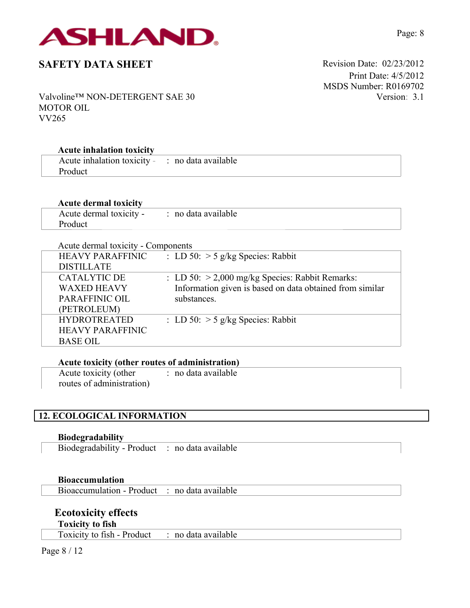

Print Date: 4/5/2012 MSDS Number: R0169702 Version: 3.1

Valvoline™ NON-DETERGENT SAE 30 MOTOR OIL VV265

## **Acute inhalation toxicity**

| Acute inhalation toxicity - | : no data available |
|-----------------------------|---------------------|
| Product                     |                     |

## **Acute dermal toxicity**

| Acute dermal toxicity - : no data available |  |
|---------------------------------------------|--|
| Product                                     |  |

| Acute dermal toxicity - Components |                                                          |
|------------------------------------|----------------------------------------------------------|
| <b>HEAVY PARAFFINIC</b>            | : LD 50: $>$ 5 g/kg Species: Rabbit                      |
| <b>DISTILLATE</b>                  |                                                          |
| <b>CATALYTIC DE</b>                | : LD 50: $>$ 2,000 mg/kg Species: Rabbit Remarks:        |
| <b>WAXED HEAVY</b>                 | Information given is based on data obtained from similar |
| PARAFFINIC OIL                     | substances.                                              |
| (PETROLEUM)                        |                                                          |
| <b>HYDROTREATED</b>                | : LD 50: $>$ 5 g/kg Species: Rabbit                      |
| <b>HEAVY PARAFFINIC</b>            |                                                          |
| <b>BASE OIL</b>                    |                                                          |

|  | Acute toxicity (other routes of administration) |
|--|-------------------------------------------------|
|  |                                                 |

| Acute toxicity (other     | no data available |
|---------------------------|-------------------|
| routes of administration) |                   |

# **12. ECOLOGICAL INFORMATION**

**Biodegradability**

Biodegradability - Product : no data available

### **Bioaccumulation**

Bioaccumulation - Product : no data available

# **Ecotoxicity effects**

**Toxicity to fish**

Toxicity to fish - Product : no data available

Page 8 / 12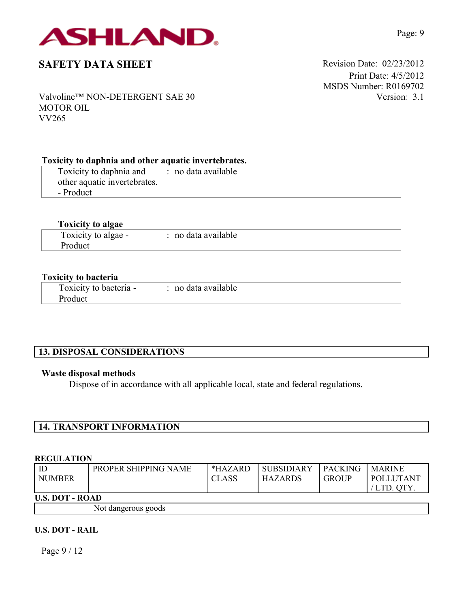

Print Date: 4/5/2012 MSDS Number: R0169702 Version: 3.1

Valvoline™ NON-DETERGENT SAE 30 MOTOR OIL VV265

## **Toxicity to daphnia and other aquatic invertebrates.**

Toxicity to daphnia and other aquatic invertebrates. - Product : no data available

## **Toxicity to algae**

| Toxicity to algae - | : no data available |  |
|---------------------|---------------------|--|
| <b>Product</b>      |                     |  |

### **Toxicity to bacteria**

| Toxicity to bacteria - | $\therefore$ no data available |
|------------------------|--------------------------------|
| Product                |                                |

# **13. DISPOSAL CONSIDERATIONS**

### **Waste disposal methods**

Dispose of in accordance with all applicable local, state and federal regulations.

# **14. TRANSPORT INFORMATION**

#### **REGULATION**

| ı ID<br><b>NUMBER</b>  | PROPER SHIPPING NAME | *HAZARD<br><b>CLASS</b> | <b>SUBSIDIARY</b><br><b>HAZARDS</b> | <b>PACKING</b><br><b>GROUP</b> | <b>MARINE</b><br>POLLUTANT<br>' LTD. OTY |  |
|------------------------|----------------------|-------------------------|-------------------------------------|--------------------------------|------------------------------------------|--|
| <b>U.S. DOT - ROAD</b> |                      |                         |                                     |                                |                                          |  |
| Not dangerous goods    |                      |                         |                                     |                                |                                          |  |

### **U.S. DOT - RAIL**

Page 9 / 12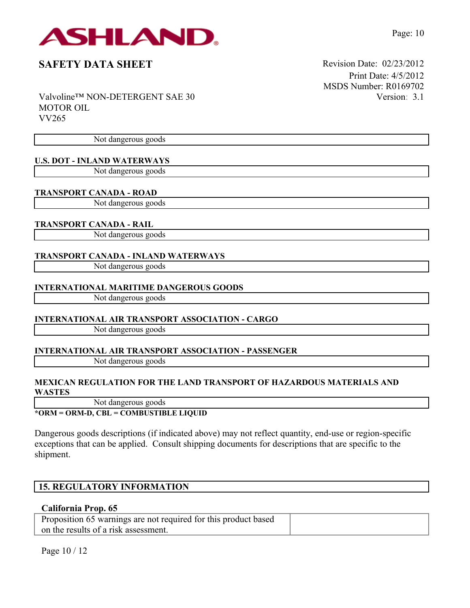

Valvoline™ NON-DETERGENT SAE 30 MOTOR OIL VV265

Not dangerous goods

## **U.S. DOT - INLAND WATERWAYS**

Not dangerous goods

### **TRANSPORT CANADA - ROAD**

Not dangerous goods

### **TRANSPORT CANADA - RAIL**

Not dangerous goods

### **TRANSPORT CANADA - INLAND WATERWAYS**

Not dangerous goods

### **INTERNATIONAL MARITIME DANGEROUS GOODS**

Not dangerous goods

## **INTERNATIONAL AIR TRANSPORT ASSOCIATION - CARGO**

Not dangerous goods

# **INTERNATIONAL AIR TRANSPORT ASSOCIATION - PASSENGER**

Not dangerous goods

### **MEXICAN REGULATION FOR THE LAND TRANSPORT OF HAZARDOUS MATERIALS AND WASTES**

Not dangerous goods

### **\*ORM = ORM-D, CBL = COMBUSTIBLE LIQUID**

Dangerous goods descriptions (if indicated above) may not reflect quantity, end-use or region-specific exceptions that can be applied. Consult shipping documents for descriptions that are specific to the shipment.

# **15. REGULATORY INFORMATION**

### **California Prop. 65**

Proposition 65 warnings are not required for this product based on the results of a risk assessment.

Page 10 / 12

Print Date: 4/5/2012 MSDS Number: R0169702 Version: 3.1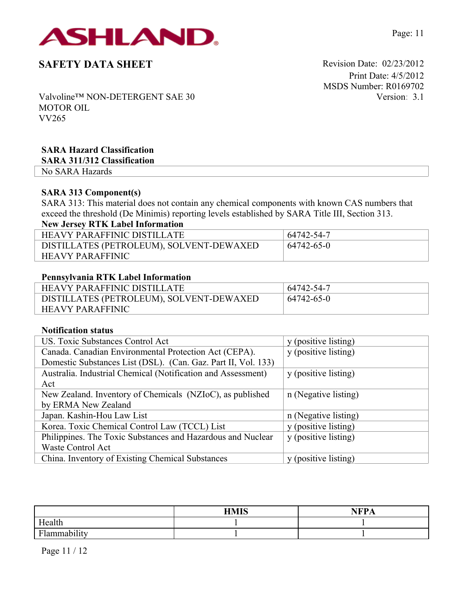

Print Date: 4/5/2012 MSDS Number: R0169702 Version: 3.1

Page: 11

Valvoline™ NON-DETERGENT SAE 30 MOTOR OIL VV265

# **SARA Hazard Classification**

**SARA 311/312 Classification**

No SARA Hazards

# **SARA 313 Component(s)**

SARA 313: This material does not contain any chemical components with known CAS numbers that exceed the threshold (De Minimis) reporting levels established by SARA Title III, Section 313.

# **New Jersey RTK Label Information**

| HEAVY PARAFFINIC DISTILLATE              | 64742-54-7 |
|------------------------------------------|------------|
| DISTILLATES (PETROLEUM), SOLVENT-DEWAXED | 64742-65-0 |
| <b>HEAVY PARAFFINIC</b>                  |            |

## **Pennsylvania RTK Label Information**

| <b>HEAVY PARAFFINIC DISTILLATE</b>       | 64742-54-7 |
|------------------------------------------|------------|
| DISTILLATES (PETROLEUM), SOLVENT-DEWAXED | 64742-65-0 |
| <b>HEAVY PARAFFINIC</b>                  |            |

## **Notification status**

| US. Toxic Substances Control Act                              | y (positive listing) |
|---------------------------------------------------------------|----------------------|
| Canada. Canadian Environmental Protection Act (CEPA).         | y (positive listing) |
| Domestic Substances List (DSL). (Can. Gaz. Part II, Vol. 133) |                      |
| Australia. Industrial Chemical (Notification and Assessment)  | y (positive listing) |
| Act                                                           |                      |
| New Zealand. Inventory of Chemicals (NZIoC), as published     | n (Negative listing) |
| by ERMA New Zealand                                           |                      |
| Japan. Kashin-Hou Law List                                    | n (Negative listing) |
| Korea. Toxic Chemical Control Law (TCCL) List                 | y (positive listing) |
| Philippines. The Toxic Substances and Hazardous and Nuclear   | y (positive listing) |
| Waste Control Act                                             |                      |
| China. Inventory of Existing Chemical Substances              | y (positive listing) |

|                                               | <b>ПМІС</b> | <b>AIDD</b><br>-- |
|-----------------------------------------------|-------------|-------------------|
| Health                                        |             |                   |
| $\cdot$ $\cdot$ .<br>T1<br>0.1223300000111177 |             |                   |

Page 11 / 12